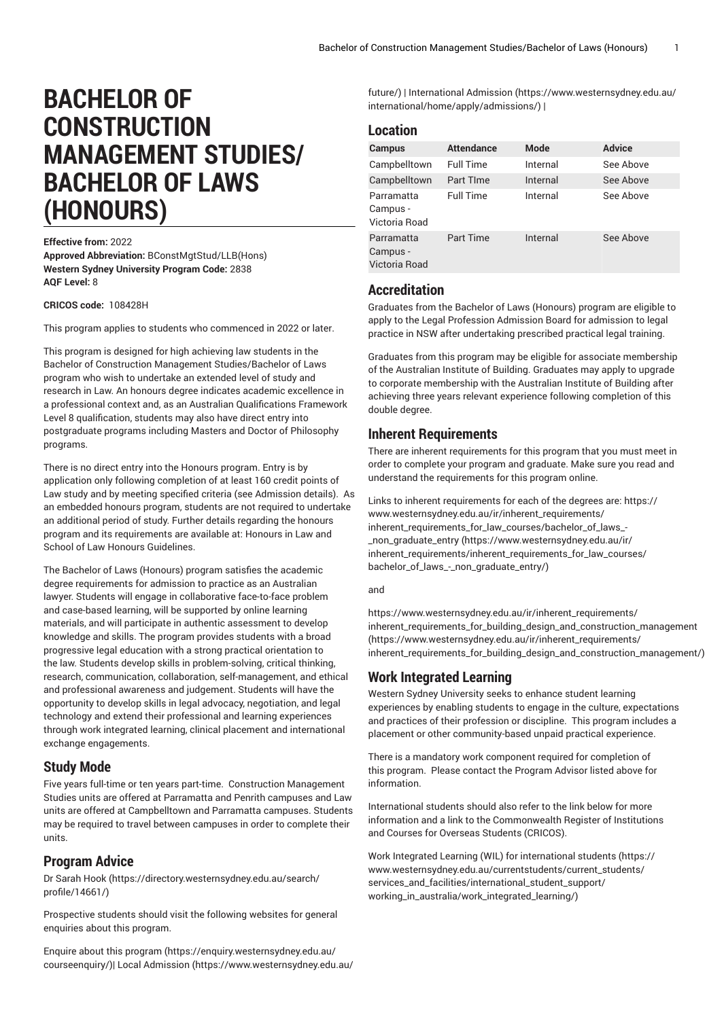# **BACHELOR OF CONSTRUCTION MANAGEMENT STUDIES/ BACHELOR OF LAWS (HONOURS)**

### **Effective from:** 2022

**Approved Abbreviation:** BConstMgtStud/LLB(Hons) **Western Sydney University Program Code:** 2838 **AQF Level:** 8

**CRICOS code:**  108428H

This program applies to students who commenced in 2022 or later.

This program is designed for high achieving law students in the Bachelor of Construction Management Studies/Bachelor of Laws program who wish to undertake an extended level of study and research in Law. An honours degree indicates academic excellence in a professional context and, as an Australian Qualifications Framework Level 8 qualification, students may also have direct entry into postgraduate programs including Masters and Doctor of Philosophy programs.

There is no direct entry into the Honours program. Entry is by application only following completion of at least 160 credit points of Law study and by meeting specified criteria (see Admission details). As an embedded honours program, students are not required to undertake an additional period of study. Further details regarding the honours program and its requirements are available at: Honours in Law and School of Law Honours Guidelines.

The Bachelor of Laws (Honours) program satisfies the academic degree requirements for admission to practice as an Australian lawyer. Students will engage in collaborative face-to-face problem and case-based learning, will be supported by online learning materials, and will participate in authentic assessment to develop knowledge and skills. The program provides students with a broad progressive legal education with a strong practical orientation to the law. Students develop skills in problem-solving, critical thinking, research, communication, collaboration, self-management, and ethical and professional awareness and judgement. Students will have the opportunity to develop skills in legal advocacy, negotiation, and legal technology and extend their professional and learning experiences through work integrated learning, clinical placement and international exchange engagements.

### **Study Mode**

Five years full-time or ten years part-time. Construction Management Studies units are offered at Parramatta and Penrith campuses and Law units are offered at Campbelltown and Parramatta campuses. Students may be required to travel between campuses in order to complete their units.

### **Program Advice**

[Dr Sarah Hook](https://directory.westernsydney.edu.au/search/profile/14661/) ([https://directory.westernsydney.edu.au/search/](https://directory.westernsydney.edu.au/search/profile/14661/) [profile/14661/\)](https://directory.westernsydney.edu.au/search/profile/14661/)

Prospective students should visit the following websites for general enquiries about this program.

Enquire about this [program \(https://enquiry.westernsydney.edu.au/](https://enquiry.westernsydney.edu.au/courseenquiry/) [courseenquiry/](https://enquiry.westernsydney.edu.au/courseenquiry/))| [Local Admission \(https://www.westernsydney.edu.au/](https://www.westernsydney.edu.au/future/) [future/](https://www.westernsydney.edu.au/future/)) | [International Admission \(https://www.westernsydney.edu.au/](https://www.westernsydney.edu.au/international/home/apply/admissions/) [international/home/apply/admissions/](https://www.westernsydney.edu.au/international/home/apply/admissions/)) |

### **Location**

| <b>Campus</b>                           | <b>Attendance</b> | <b>Mode</b> | <b>Advice</b> |
|-----------------------------------------|-------------------|-------------|---------------|
| Campbelltown                            | <b>Full Time</b>  | Internal    | See Above     |
| Campbelltown                            | Part TIme         | Internal    | See Above     |
| Parramatta<br>Campus -<br>Victoria Road | <b>Full Time</b>  | Internal    | See Above     |
| Parramatta<br>Campus -<br>Victoria Road | <b>Part Time</b>  | Internal    | See Above     |

### **Accreditation**

Graduates from the Bachelor of Laws (Honours) program are eligible to apply to the Legal Profession Admission Board for admission to legal practice in NSW after undertaking prescribed practical legal training.

Graduates from this program may be eligible for associate membership of the Australian Institute of Building. Graduates may apply to upgrade to corporate membership with the Australian Institute of Building after achieving three years relevant experience following completion of this double degree.

### **Inherent Requirements**

There are inherent requirements for this program that you must meet in order to complete your program and graduate. Make sure you read and understand the requirements for this program online.

Links to inherent requirements for each of the degrees are: [https://](https://www.westernsydney.edu.au/ir/inherent_requirements/inherent_requirements_for_law_courses/bachelor_of_laws_-_non_graduate_entry/) [www.westernsydney.edu.au/ir/inherent\\_requirements/](https://www.westernsydney.edu.au/ir/inherent_requirements/inherent_requirements_for_law_courses/bachelor_of_laws_-_non_graduate_entry/) [inherent\\_requirements\\_for\\_law\\_courses/bachelor\\_of\\_laws\\_-](https://www.westernsydney.edu.au/ir/inherent_requirements/inherent_requirements_for_law_courses/bachelor_of_laws_-_non_graduate_entry/) [\\_non\\_graduate\\_entry](https://www.westernsydney.edu.au/ir/inherent_requirements/inherent_requirements_for_law_courses/bachelor_of_laws_-_non_graduate_entry/) ([https://www.westernsydney.edu.au/ir/](https://www.westernsydney.edu.au/ir/inherent_requirements/inherent_requirements_for_law_courses/bachelor_of_laws_-_non_graduate_entry/) [inherent\\_requirements/inherent\\_requirements\\_for\\_law\\_courses/](https://www.westernsydney.edu.au/ir/inherent_requirements/inherent_requirements_for_law_courses/bachelor_of_laws_-_non_graduate_entry/) [bachelor\\_of\\_laws\\_-\\_non\\_graduate\\_entry/\)](https://www.westernsydney.edu.au/ir/inherent_requirements/inherent_requirements_for_law_courses/bachelor_of_laws_-_non_graduate_entry/)

### and

[https://www.westernsydney.edu.au/ir/inherent\\_requirements/](https://www.westernsydney.edu.au/ir/inherent_requirements/inherent_requirements_for_building_design_and_construction_management/) [inherent\\_requirements\\_for\\_building\\_design\\_and\\_construction\\_management](https://www.westernsydney.edu.au/ir/inherent_requirements/inherent_requirements_for_building_design_and_construction_management/) ([https://www.westernsydney.edu.au/ir/inherent\\_requirements/](https://www.westernsydney.edu.au/ir/inherent_requirements/inherent_requirements_for_building_design_and_construction_management/) [inherent\\_requirements\\_for\\_building\\_design\\_and\\_construction\\_management/\)](https://www.westernsydney.edu.au/ir/inherent_requirements/inherent_requirements_for_building_design_and_construction_management/)

### **Work Integrated Learning**

Western Sydney University seeks to enhance student learning experiences by enabling students to engage in the culture, expectations and practices of their profession or discipline. This program includes a placement or other community-based unpaid practical experience.

There is a mandatory work component required for completion of this program. Please contact the Program Advisor listed above for information.

International students should also refer to the link below for more information and a link to the Commonwealth Register of Institutions and Courses for Overseas Students (CRICOS).

Work Integrated Learning (WIL) for [international](https://www.westernsydney.edu.au/currentstudents/current_students/services_and_facilities/international_student_support/working_in_australia/work_integrated_learning/) students ([https://](https://www.westernsydney.edu.au/currentstudents/current_students/services_and_facilities/international_student_support/working_in_australia/work_integrated_learning/) [www.westernsydney.edu.au/currentstudents/current\\_students/](https://www.westernsydney.edu.au/currentstudents/current_students/services_and_facilities/international_student_support/working_in_australia/work_integrated_learning/) [services\\_and\\_facilities/international\\_student\\_support/](https://www.westernsydney.edu.au/currentstudents/current_students/services_and_facilities/international_student_support/working_in_australia/work_integrated_learning/) [working\\_in\\_australia/work\\_integrated\\_learning/](https://www.westernsydney.edu.au/currentstudents/current_students/services_and_facilities/international_student_support/working_in_australia/work_integrated_learning/))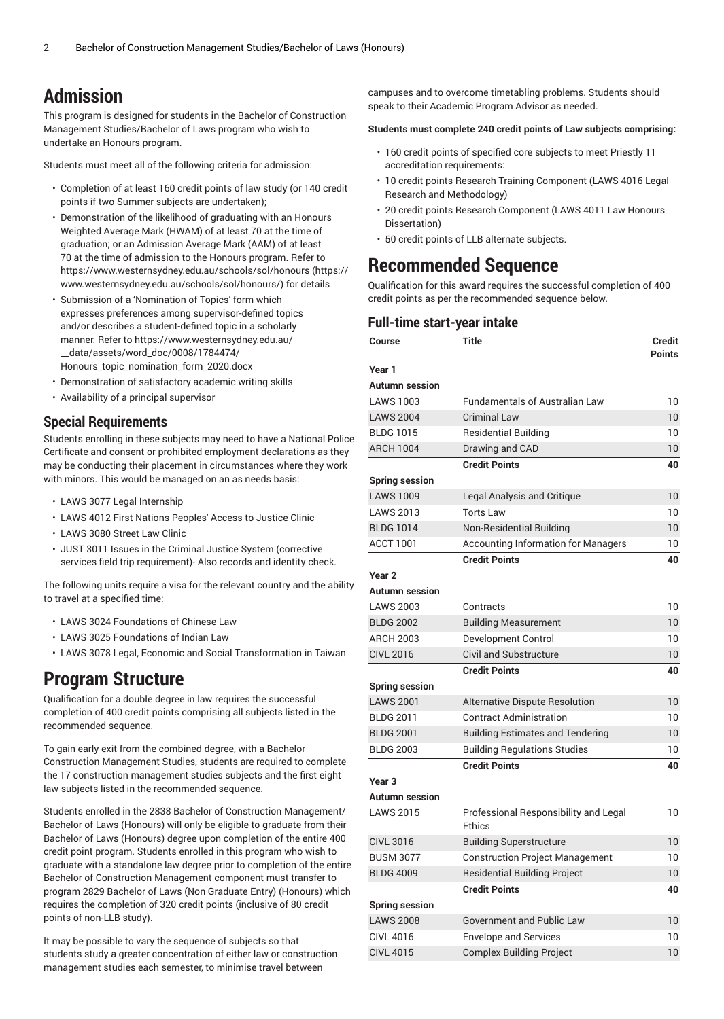# **Admission**

This program is designed for students in the Bachelor of Construction Management Studies/Bachelor of Laws program who wish to undertake an Honours program.

Students must meet all of the following criteria for admission:

- Completion of at least 160 credit points of law study (or 140 credit points if two Summer subjects are undertaken);
- Demonstration of the likelihood of graduating with an Honours Weighted Average Mark (HWAM) of at least 70 at the time of graduation; or an Admission Average Mark (AAM) of at least 70 at the time of admission to the Honours program. Refer to [https://www.westernsydney.edu.au/schools/sol/honours \(https://](https://www.westernsydney.edu.au/schools/sol/honours/) [www.westernsydney.edu.au/schools/sol/honours/\)](https://www.westernsydney.edu.au/schools/sol/honours/) for details
- Submission of a 'Nomination of Topics' form which expresses preferences among supervisor-defined topics and/or describes a student-defined topic in a scholarly manner. Refer to [https://www.westernsydney.edu.au/](https://www.westernsydney.edu.au/__data/assets/word_doc/0008/1784474/Honours_topic_nomination_form_2020.docx) [\\_\\_data/assets/word\\_doc/0008/1784474/](https://www.westernsydney.edu.au/__data/assets/word_doc/0008/1784474/Honours_topic_nomination_form_2020.docx) [Honours\\_topic\\_nomination\\_form\\_2020.docx](https://www.westernsydney.edu.au/__data/assets/word_doc/0008/1784474/Honours_topic_nomination_form_2020.docx)
- Demonstration of satisfactory academic writing skills
- Availability of a principal supervisor

### **Special Requirements**

Students enrolling in these subjects may need to have a National Police Certificate and consent or prohibited employment declarations as they may be conducting their placement in circumstances where they work with minors. This would be managed on an as needs basis:

- LAWS 3077 Legal Internship
- LAWS 4012 First Nations Peoples' Access to Justice Clinic
- LAWS 3080 Street Law Clinic
- JUST 3011 Issues in the Criminal Justice System (corrective services field trip requirement)- Also records and identity check.

The following units require a visa for the relevant country and the ability to travel at a specified time:

- LAWS 3024 Foundations of Chinese Law
- LAWS 3025 Foundations of Indian Law
- LAWS 3078 Legal, Economic and Social Transformation in Taiwan

## **Program Structure**

Qualification for a double degree in law requires the successful completion of 400 credit points comprising all subjects listed in the recommended sequence.

To gain early exit from the combined degree, with a Bachelor Construction Management Studies, students are required to complete the 17 construction management studies subjects and the first eight law subjects listed in the recommended sequence.

Students enrolled in the 2838 Bachelor of Construction Management/ Bachelor of Laws (Honours) will only be eligible to graduate from their Bachelor of Laws (Honours) degree upon completion of the entire 400 credit point program. Students enrolled in this program who wish to graduate with a standalone law degree prior to completion of the entire Bachelor of Construction Management component must transfer to program 2829 Bachelor of Laws (Non Graduate Entry) (Honours) which requires the completion of 320 credit points (inclusive of 80 credit points of non-LLB study).

It may be possible to vary the sequence of subjects so that students study a greater concentration of either law or construction management studies each semester, to minimise travel between

campuses and to overcome timetabling problems. Students should speak to their Academic Program Advisor as needed.

### **Students must complete 240 credit points of Law subjects comprising:**

- 160 credit points of specified core subjects to meet Priestly 11 accreditation requirements:
- 10 credit points Research Training Component (LAWS 4016 Legal Research and Methodology)
- 20 credit points Research Component (LAWS 4011 Law Honours Dissertation)
- 50 credit points of LLB alternate subjects.

# **Recommended Sequence**

Qualification for this award requires the successful completion of 400 credit points as per the recommended sequence below.

### **Full-time start-year intake**

| Course                | Title                                                  | <b>Credit</b><br><b>Points</b> |
|-----------------------|--------------------------------------------------------|--------------------------------|
| Year 1                |                                                        |                                |
| <b>Autumn</b> session |                                                        |                                |
| <b>LAWS 1003</b>      | <b>Fundamentals of Australian Law</b>                  | 10                             |
| <b>LAWS 2004</b>      | <b>Criminal Law</b>                                    | 10                             |
| <b>BLDG 1015</b>      | <b>Residential Building</b>                            | 10                             |
| <b>ARCH 1004</b>      | Drawing and CAD                                        | 10                             |
|                       | <b>Credit Points</b>                                   | 40                             |
| <b>Spring session</b> |                                                        |                                |
| <b>LAWS 1009</b>      | Legal Analysis and Critique                            | 10                             |
| <b>LAWS 2013</b>      | <b>Torts Law</b>                                       | 10                             |
| <b>BLDG 1014</b>      | Non-Residential Building                               | 10                             |
| <b>ACCT 1001</b>      | <b>Accounting Information for Managers</b>             | 10                             |
|                       | <b>Credit Points</b>                                   | 40                             |
| Year <sub>2</sub>     |                                                        |                                |
| <b>Autumn session</b> |                                                        |                                |
| <b>LAWS 2003</b>      | Contracts                                              | 10                             |
| <b>BLDG 2002</b>      | <b>Building Measurement</b>                            | 10                             |
| <b>ARCH 2003</b>      | Development Control                                    | 10                             |
| <b>CIVL 2016</b>      | <b>Civil and Substructure</b>                          | 10                             |
|                       | <b>Credit Points</b>                                   | 40                             |
| <b>Spring session</b> |                                                        |                                |
| <b>LAWS 2001</b>      | <b>Alternative Dispute Resolution</b>                  | 10                             |
| <b>BLDG 2011</b>      | <b>Contract Administration</b>                         | 10                             |
| <b>BLDG 2001</b>      | <b>Building Estimates and Tendering</b>                | 10                             |
| <b>BLDG 2003</b>      | <b>Building Regulations Studies</b>                    | 10                             |
|                       | <b>Credit Points</b>                                   | 40                             |
| Year <sub>3</sub>     |                                                        |                                |
| <b>Autumn session</b> |                                                        |                                |
| <b>LAWS 2015</b>      | Professional Responsibility and Legal<br><b>Ethics</b> | 10                             |
| <b>CIVL 3016</b>      | <b>Building Superstructure</b>                         | 10                             |
| <b>BUSM 3077</b>      | <b>Construction Project Management</b>                 | 10                             |
| <b>BLDG 4009</b>      | <b>Residential Building Project</b>                    | 10                             |
|                       | <b>Credit Points</b>                                   | 40                             |
| <b>Spring session</b> |                                                        |                                |
| <b>LAWS 2008</b>      | <b>Government and Public Law</b>                       | 10                             |
| <b>CIVL 4016</b>      | <b>Envelope and Services</b>                           | 10                             |
| <b>CIVL 4015</b>      | <b>Complex Building Project</b>                        | 10                             |